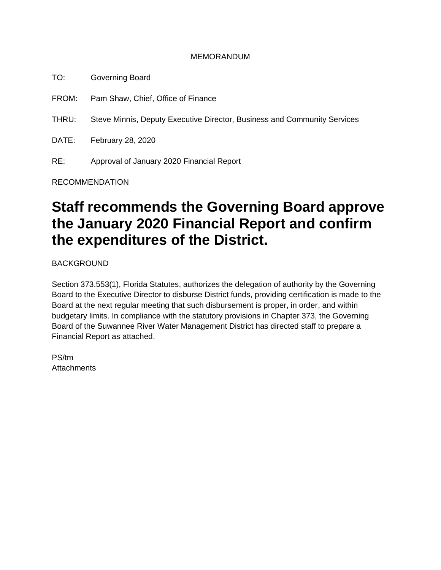#### MEMORANDUM

TO: Governing Board

FROM: Pam Shaw, Chief, Office of Finance

THRU: Steve Minnis, Deputy Executive Director, Business and Community Services

DATE: February 28, 2020

RE: Approval of January 2020 Financial Report

RECOMMENDATION

# **Staff recommends the Governing Board approve the January 2020 Financial Report and confirm the expenditures of the District.**

BACKGROUND

Section 373.553(1), Florida Statutes, authorizes the delegation of authority by the Governing Board to the Executive Director to disburse District funds, providing certification is made to the Board at the next regular meeting that such disbursement is proper, in order, and within budgetary limits. In compliance with the statutory provisions in Chapter 373, the Governing Board of the Suwannee River Water Management District has directed staff to prepare a Financial Report as attached.

PS/tm **Attachments**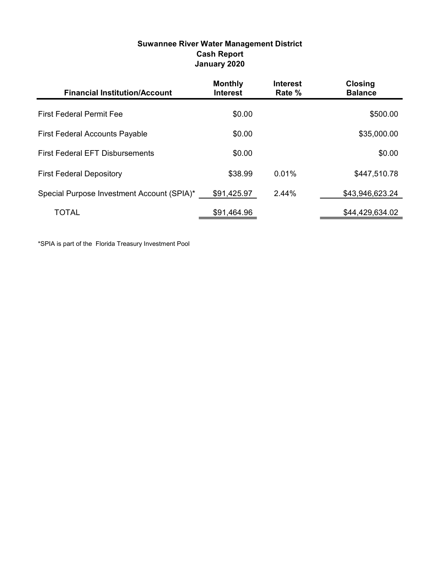| <b>Suwannee River Water Management District</b> |
|-------------------------------------------------|
| <b>Cash Report</b>                              |
| January 2020                                    |

| <b>Financial Institution/Account</b>       | <b>Monthly</b><br><b>Interest</b> | <b>Interest</b><br>Rate % | <b>Closing</b><br><b>Balance</b> |
|--------------------------------------------|-----------------------------------|---------------------------|----------------------------------|
| <b>First Federal Permit Fee</b>            | \$0.00                            |                           | \$500.00                         |
| <b>First Federal Accounts Payable</b>      | \$0.00                            |                           | \$35,000.00                      |
| <b>First Federal EFT Disbursements</b>     | \$0.00                            |                           | \$0.00                           |
| <b>First Federal Depository</b>            | \$38.99                           | 0.01%                     | \$447,510.78                     |
| Special Purpose Investment Account (SPIA)* | \$91,425.97                       | 2.44%                     | \$43,946,623.24                  |
| TOTAL                                      | \$91,464.96                       |                           | \$44,429,634.02                  |

\*SPIA is part of the Florida Treasury Investment Pool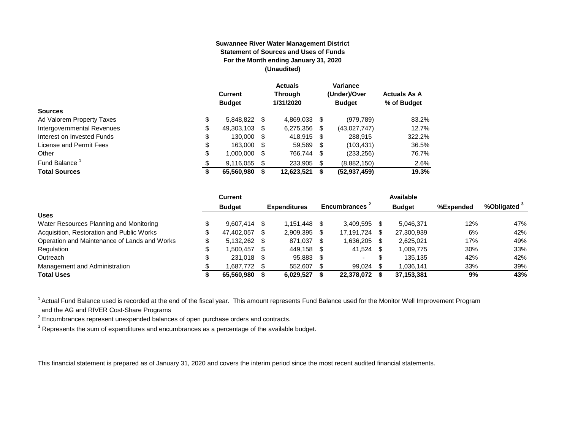#### **Suwannee River Water Management District Statement of Sources and Uses of Funds For the Month ending January 31, 2020 (Unaudited)**

|                                  | <b>Current</b><br><b>Budget</b> |      | <b>Actuals</b><br><b>Through</b><br>1/31/2020 |      | Variance<br>(Under)/Over<br><b>Budget</b> | <b>Actuals As A</b><br>% of Budget |
|----------------------------------|---------------------------------|------|-----------------------------------------------|------|-------------------------------------------|------------------------------------|
| <b>Sources</b>                   |                                 |      |                                               |      |                                           |                                    |
| \$<br>Ad Valorem Property Taxes  | 5.848.822                       | - \$ | 4,869,033                                     | -\$  | (979, 789)                                | 83.2%                              |
| Intergovernmental Revenues<br>\$ | 49,303,103                      | \$.  | 6,275,356                                     | S    | (43,027,747)                              | 12.7%                              |
| \$<br>Interest on Invested Funds | 130,000                         | - \$ | 418.915                                       | - \$ | 288,915                                   | 322.2%                             |
| \$<br>License and Permit Fees    | 163.000                         | \$.  | 59,569                                        | - \$ | (103, 431)                                | 36.5%                              |
| \$<br>Other                      | 1,000,000                       | S.   | 766,744 \$                                    |      | (233, 256)                                | 76.7%                              |
| Fund Balance<br>\$               | 9,116,055                       | \$.  | 233.905                                       | -\$  | (8,882,150)                               | 2.6%                               |
| <b>Total Sources</b><br>œ<br>จ   | 65,560,980                      |      | 12,623,521                                    | S    | (52, 937, 459)                            | 19.3%                              |

|                                              |    | <b>Current</b> |      |                     |      |                |   | Available     |           |                         |
|----------------------------------------------|----|----------------|------|---------------------|------|----------------|---|---------------|-----------|-------------------------|
|                                              |    | <b>Budget</b>  |      | <b>Expenditures</b> |      | Encumbrances - |   | <b>Budget</b> | %Expended | %Obligated <sup>3</sup> |
| <b>Uses</b>                                  |    |                |      |                     |      |                |   |               |           |                         |
| Water Resources Planning and Monitoring      |    | $9.607.414$ \$ |      | 1.151.448           |      | 3.409.595      |   | 5.046.371     | 12%       | 47%                     |
| Acquisition, Restoration and Public Works    | \$ | 47.402.057     | -SG  | 2.909.395           |      | 17.191.724     |   | 27,300,939    | 6%        | 42%                     |
| Operation and Maintenance of Lands and Works | \$ | $5,132,262$ \$ |      | 871,037             | - \$ | 1,636,205      |   | 2,625,021     | 17%       | 49%                     |
| Regulation                                   | Œ  | 1.500.457      | - \$ | 449.158             | -SS  | 41.524         |   | 1.009.775     | 30%       | 33%                     |
| Outreach                                     |    | 231,018 \$     |      | 95,883              |      |                | ъ | 135,135       | 42%       | 42%                     |
| Management and Administration                |    | 1,687,772 \$   |      | 552,607             |      | 99.024         |   | 1,036,141     | 33%       | 39%                     |
| <b>Total Uses</b>                            |    | 65.560.980     |      | 6.029.527           |      | 22.378.072     |   | 37,153,381    | 9%        | 43%                     |

<sup>1</sup> Actual Fund Balance used is recorded at the end of the fiscal year. This amount represents Fund Balance used for the Monitor Well Improvement Program and the AG and RIVER Cost-Share Programs

 $2$  Encumbrances represent unexpended balances of open purchase orders and contracts.

 $^3$  Represents the sum of expenditures and encumbrances as a percentage of the available budget.

This financial statement is prepared as of January 31, 2020 and covers the interim period since the most recent audited financial statements.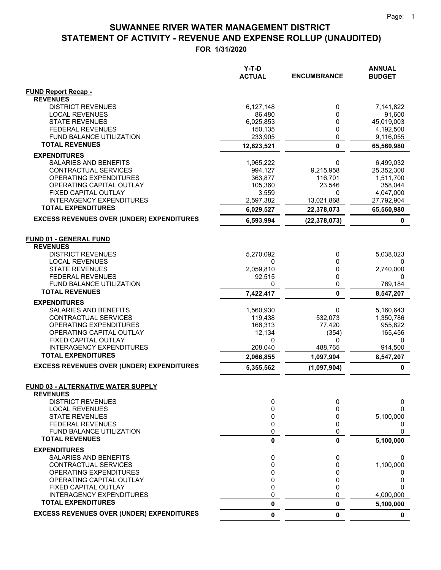$=$   $=$ 

#### **STATEMENT OF ACTIVITY - REVENUE AND EXPENSE ROLLUP (UNAUDITED) SUWANNEE RIVER WATER MANAGEMENT DISTRICT**

|                                                     | $Y-T-D$<br><b>ACTUAL</b> | <b>ENCUMBRANCE</b> | <b>ANNUAL</b><br><b>BUDGET</b> |
|-----------------------------------------------------|--------------------------|--------------------|--------------------------------|
| <b>FUND Report Recap -</b>                          |                          |                    |                                |
| <b>REVENUES</b>                                     |                          |                    |                                |
| <b>DISTRICT REVENUES</b>                            | 6,127,148                | 0                  | 7,141,822                      |
| <b>LOCAL REVENUES</b>                               | 86,480                   | 0                  | 91,600                         |
| <b>STATE REVENUES</b><br><b>FEDERAL REVENUES</b>    | 6,025,853                | 0<br>0             | 45,019,003<br>4,192,500        |
| <b>FUND BALANCE UTILIZATION</b>                     | 150,135<br>233,905       | 0                  | 9,116,055                      |
| <b>TOTAL REVENUES</b>                               | 12,623,521               | $\mathbf 0$        | 65,560,980                     |
| <b>EXPENDITURES</b>                                 |                          |                    |                                |
| SALARIES AND BENEFITS                               | 1,965,222                | 0                  | 6,499,032                      |
| CONTRACTUAL SERVICES                                | 994,127                  | 9,215,958          | 25,352,300                     |
| OPERATING EXPENDITURES                              | 363,877                  | 116,701            | 1,511,700                      |
| OPERATING CAPITAL OUTLAY                            | 105,360                  | 23,546             | 358,044                        |
| FIXED CAPITAL OUTLAY                                | 3,559                    | 0                  | 4,047,000                      |
| <b>INTERAGENCY EXPENDITURES</b>                     | 2,597,382                | 13,021,868         | 27,792,904                     |
| <b>TOTAL EXPENDITURES</b>                           | 6,029,527                | 22,378,073         | 65,560,980                     |
| <b>EXCESS REVENUES OVER (UNDER) EXPENDITURES</b>    | 6,593,994                | (22, 378, 073)     | 0                              |
|                                                     |                          |                    |                                |
| <b>FUND 01 - GENERAL FUND</b>                       |                          |                    |                                |
| <b>REVENUES</b>                                     |                          |                    |                                |
| <b>DISTRICT REVENUES</b>                            | 5,270,092                | 0                  | 5,038,023                      |
| <b>LOCAL REVENUES</b>                               | 0                        | 0                  |                                |
| <b>STATE REVENUES</b>                               | 2,059,810                | 0                  | 2,740,000                      |
| <b>FEDERAL REVENUES</b><br>FUND BALANCE UTILIZATION | 92,515<br>0              | 0<br>0             | 0                              |
| <b>TOTAL REVENUES</b>                               | 7,422,417                | 0                  | 769,184<br>8,547,207           |
|                                                     |                          |                    |                                |
| <b>EXPENDITURES</b><br>SALARIES AND BENEFITS        | 1,560,930                | 0                  |                                |
| CONTRACTUAL SERVICES                                | 119,438                  | 532,073            | 5,160,643<br>1,350,786         |
| OPERATING EXPENDITURES                              | 166,313                  | 77,420             | 955,822                        |
| OPERATING CAPITAL OUTLAY                            | 12,134                   | (354)              | 165,456                        |
| FIXED CAPITAL OUTLAY                                | 0                        | 0                  | 0                              |
| <b>INTERAGENCY EXPENDITURES</b>                     | 208,040                  | 488,765            | 914,500                        |
| <b>TOTAL EXPENDITURES</b>                           | 2,066,855                | 1,097,904          | 8,547,207                      |
| <b>EXCESS REVENUES OVER (UNDER) EXPENDITURES</b>    | 5,355,562                | (1,097,904)        | 0                              |
| <b>FUND 03 - ALTERNATIVE WATER SUPPLY</b>           |                          |                    |                                |
| <b>REVENUES</b>                                     |                          |                    |                                |
| <b>DISTRICT REVENUES</b>                            | 0                        | 0                  | 0                              |
| <b>LOCAL REVENUES</b>                               | 0                        | 0                  | $\Omega$<br>5,100,000          |
| <b>STATE REVENUES</b><br><b>FEDERAL REVENUES</b>    | 0<br>0                   | 0<br>0             | 0                              |
| FUND BALANCE UTILIZATION                            | 0                        | 0                  | $\Omega$                       |
| <b>TOTAL REVENUES</b>                               | 0                        | 0                  | 5,100,000                      |
| <b>EXPENDITURES</b>                                 |                          |                    |                                |
| SALARIES AND BENEFITS                               | 0                        | 0                  | 0                              |
| CONTRACTUAL SERVICES                                | 0                        | 0                  | 1,100,000                      |
| OPERATING EXPENDITURES                              | 0                        | 0                  | 0                              |
| OPERATING CAPITAL OUTLAY                            | 0                        | 0                  | 0                              |
| FIXED CAPITAL OUTLAY                                | 0                        | 0                  | ი                              |
| <b>INTERAGENCY EXPENDITURES</b>                     | 0                        | 0                  | 4,000,000                      |
| <b>TOTAL EXPENDITURES</b>                           | 0                        | 0                  | 5,100,000                      |
| <b>EXCESS REVENUES OVER (UNDER) EXPENDITURES</b>    | 0                        | 0                  | $\mathbf 0$                    |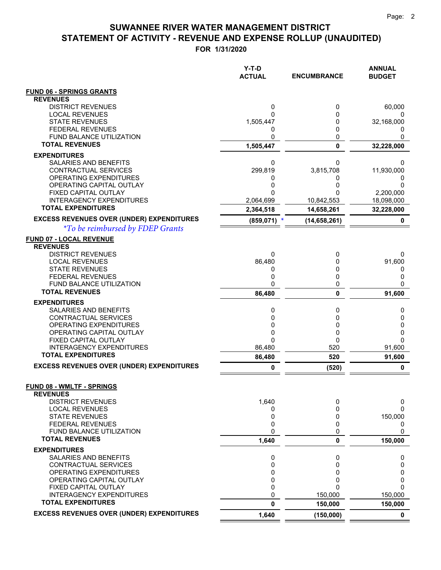**FOR 1/31/2020**

|                                                     | $Y-T-D$<br><b>ACTUAL</b> | <b>ENCUMBRANCE</b> | <b>ANNUAL</b><br><b>BUDGET</b> |
|-----------------------------------------------------|--------------------------|--------------------|--------------------------------|
| <b>FUND 06 - SPRINGS GRANTS</b>                     |                          |                    |                                |
| <b>REVENUES</b>                                     |                          |                    |                                |
| <b>DISTRICT REVENUES</b>                            | 0                        | 0                  | 60,000                         |
| <b>LOCAL REVENUES</b><br><b>STATE REVENUES</b>      | 0<br>1,505,447           | 0<br>0             | 32,168,000                     |
| <b>FEDERAL REVENUES</b>                             | 0                        | 0                  | 0                              |
| <b>FUND BALANCE UTILIZATION</b>                     | 0                        | 0                  | 0                              |
| <b>TOTAL REVENUES</b>                               | 1,505,447                | $\mathbf{0}$       | 32,228,000                     |
| <b>EXPENDITURES</b>                                 |                          |                    |                                |
| SALARIES AND BENEFITS                               | 0                        | 0                  | 0                              |
| CONTRACTUAL SERVICES                                | 299,819                  | 3,815,708          | 11,930,000                     |
| OPERATING EXPENDITURES<br>OPERATING CAPITAL OUTLAY  | 0<br>0                   | 0<br>0             | 0<br>0                         |
| FIXED CAPITAL OUTLAY                                | 0                        |                    | 2,200,000                      |
| <b>INTERAGENCY EXPENDITURES</b>                     | 2,064,699                | 10,842,553         | 18,098,000                     |
| <b>TOTAL EXPENDITURES</b>                           | 2,364,518                | 14,658,261         | 32,228,000                     |
| <b>EXCESS REVENUES OVER (UNDER) EXPENDITURES</b>    | (859, 071)               | (14,658,261)       | 0                              |
| <i>*To be reimbursed by FDEP Grants</i>             |                          |                    |                                |
| <b>FUND 07 - LOCAL REVENUE</b>                      |                          |                    |                                |
| <b>REVENUES</b>                                     |                          |                    |                                |
| <b>DISTRICT REVENUES</b>                            | 0                        | 0                  | 0                              |
| <b>LOCAL REVENUES</b>                               | 86,480                   | 0                  | 91,600                         |
| <b>STATE REVENUES</b><br><b>FEDERAL REVENUES</b>    | 0<br>0                   | 0<br>0             | 0<br>0                         |
| FUND BALANCE UTILIZATION                            | 0                        | 0                  | 0                              |
| <b>TOTAL REVENUES</b>                               | 86,480                   | $\mathbf{0}$       | 91,600                         |
| <b>EXPENDITURES</b>                                 |                          |                    |                                |
| SALARIES AND BENEFITS                               | 0                        | 0                  | 0                              |
| CONTRACTUAL SERVICES                                | 0                        | 0                  | 0                              |
| OPERATING EXPENDITURES                              | 0                        | 0                  | 0                              |
| OPERATING CAPITAL OUTLAY<br>FIXED CAPITAL OUTLAY    | 0<br>0                   | 0<br>0             | 0<br>0                         |
| <b>INTERAGENCY EXPENDITURES</b>                     | 86,480                   | 520                | 91,600                         |
| <b>TOTAL EXPENDITURES</b>                           | 86,480                   | 520                | 91,600                         |
| <b>EXCESS REVENUES OVER (UNDER) EXPENDITURES</b>    | 0                        | (520)              | 0                              |
|                                                     |                          |                    |                                |
| <b>FUND 08 - WMLTF - SPRINGS</b><br><b>REVENUES</b> |                          |                    |                                |
| <b>DISTRICT REVENUES</b>                            | 1,640                    | 0                  | 0                              |
| <b>LOCAL REVENUES</b>                               | 0                        | $\Omega$           | 0                              |
| <b>STATE REVENUES</b><br><b>FEDERAL REVENUES</b>    | 0<br>0                   | 0<br>0             | 150,000                        |
| FUND BALANCE UTILIZATION                            | 0                        | 0                  | 0<br>0                         |
| <b>TOTAL REVENUES</b>                               | 1,640                    | 0                  | 150,000                        |
| <b>EXPENDITURES</b>                                 |                          |                    |                                |
| SALARIES AND BENEFITS                               | 0                        | 0                  | 0                              |
| CONTRACTUAL SERVICES                                | 0                        | 0                  | 0                              |
| OPERATING EXPENDITURES                              | 0                        | 0                  | 0                              |
| OPERATING CAPITAL OUTLAY<br>FIXED CAPITAL OUTLAY    | 0<br>0                   | 0<br>$\Omega$      | 0<br>0                         |
| <b>INTERAGENCY EXPENDITURES</b>                     | 0                        | 150,000            | 150,000                        |
| <b>TOTAL EXPENDITURES</b>                           | 0                        | 150,000            | 150,000                        |
| <b>EXCESS REVENUES OVER (UNDER) EXPENDITURES</b>    | 1,640                    | (150,000)          | $\mathbf 0$                    |

 $=$   $=$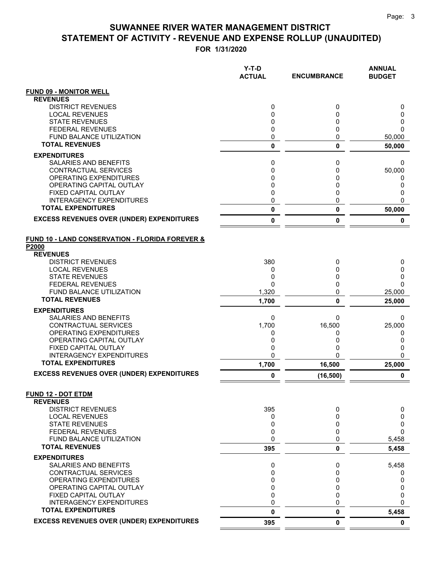|                                                          | Y-T-D<br><b>ACTUAL</b> | <b>ENCUMBRANCE</b> | <b>ANNUAL</b><br><b>BUDGET</b> |
|----------------------------------------------------------|------------------------|--------------------|--------------------------------|
| <b>FUND 09 - MONITOR WELL</b>                            |                        |                    |                                |
| <b>REVENUES</b>                                          |                        |                    |                                |
| <b>DISTRICT REVENUES</b>                                 | 0                      | 0                  | 0                              |
| <b>LOCAL REVENUES</b><br><b>STATE REVENUES</b>           | 0<br>0                 | 0<br>0             | 0<br>0                         |
| <b>FEDERAL REVENUES</b>                                  | 0                      | 0                  | $\Omega$                       |
| <b>FUND BALANCE UTILIZATION</b>                          | 0                      | 0                  | 50,000                         |
| <b>TOTAL REVENUES</b>                                    | 0                      | 0                  | 50,000                         |
| <b>EXPENDITURES</b>                                      |                        |                    |                                |
| <b>SALARIES AND BENEFITS</b>                             | 0                      | 0                  | 0                              |
| CONTRACTUAL SERVICES                                     | 0                      | 0                  | 50,000                         |
| OPERATING EXPENDITURES<br>OPERATING CAPITAL OUTLAY       | 0<br>$\mathbf 0$       | 0<br>0             | 0<br>0                         |
| <b>FIXED CAPITAL OUTLAY</b>                              | 0                      | 0                  | 0                              |
| <b>INTERAGENCY EXPENDITURES</b>                          | 0                      | 0                  | $\Omega$                       |
| <b>TOTAL EXPENDITURES</b>                                | 0                      | 0                  | 50,000                         |
| <b>EXCESS REVENUES OVER (UNDER) EXPENDITURES</b>         | 0                      | 0                  | 0                              |
| FUND 10 - LAND CONSERVATION - FLORIDA FOREVER &<br>P2000 |                        |                    |                                |
| <b>REVENUES</b>                                          |                        |                    |                                |
| <b>DISTRICT REVENUES</b>                                 | 380                    | 0                  | 0                              |
| <b>LOCAL REVENUES</b><br><b>STATE REVENUES</b>           | 0<br>0                 | 0<br>0             | 0<br>0                         |
| <b>FEDERAL REVENUES</b>                                  | $\Omega$               | 0                  | $\Omega$                       |
| <b>FUND BALANCE UTILIZATION</b>                          | 1,320                  | 0                  | 25,000                         |
| <b>TOTAL REVENUES</b>                                    | 1,700                  | 0                  | 25,000                         |
| <b>EXPENDITURES</b>                                      |                        |                    |                                |
| SALARIES AND BENEFITS                                    | 0                      | 0                  | 0                              |
| CONTRACTUAL SERVICES                                     | 1,700                  | 16,500             | 25,000                         |
| OPERATING EXPENDITURES<br>OPERATING CAPITAL OUTLAY       | 0<br>0                 | 0<br>0             | 0<br>0                         |
| FIXED CAPITAL OUTLAY                                     | 0                      | 0                  | 0                              |
| <b>INTERAGENCY EXPENDITURES</b>                          | 0                      | 0                  | $\Omega$                       |
| <b>TOTAL EXPENDITURES</b>                                | 1,700                  | 16,500             | 25,000                         |
| <b>EXCESS REVENUES OVER (UNDER) EXPENDITURES</b>         | 0                      | (16, 500)          | 0                              |
| <b>FUND 12 - DOT ETDM</b>                                |                        |                    |                                |
| <b>REVENUES</b><br><b>DISTRICT REVENUES</b>              | 395                    | 0                  | 0                              |
| <b>LOCAL REVENUES</b>                                    | 0                      | 0                  | 0                              |
| <b>STATE REVENUES</b>                                    | 0                      | 0                  | 0                              |
| <b>FEDERAL REVENUES</b>                                  | 0                      | 0                  | 0                              |
| <b>FUND BALANCE UTILIZATION</b><br><b>TOTAL REVENUES</b> | 0<br>395               | 0<br>0             | 5,458<br>5,458                 |
| <b>EXPENDITURES</b>                                      |                        |                    |                                |
| SALARIES AND BENEFITS                                    | 0                      | 0                  | 5,458                          |
| CONTRACTUAL SERVICES                                     | 0                      | 0                  | 0                              |
| <b>OPERATING EXPENDITURES</b>                            | 0                      | 0                  | 0                              |
| OPERATING CAPITAL OUTLAY                                 | $\mathbf 0$            | 0                  | 0                              |
| FIXED CAPITAL OUTLAY<br><b>INTERAGENCY EXPENDITURES</b>  | 0<br>0                 | 0<br>0             | 0<br>$\Omega$                  |
| <b>TOTAL EXPENDITURES</b>                                | 0                      | 0                  | 5,458                          |
| <b>EXCESS REVENUES OVER (UNDER) EXPENDITURES</b>         | 395                    | 0                  | $\mathbf 0$                    |
|                                                          |                        |                    |                                |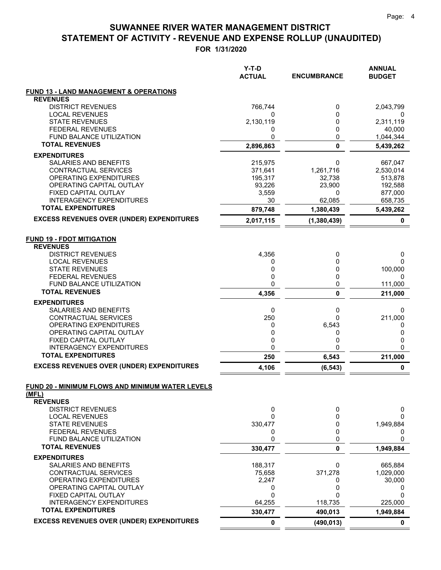|                                                              | Y-T-D<br><b>ACTUAL</b> | <b>ENCUMBRANCE</b>  | <b>ANNUAL</b><br><b>BUDGET</b> |
|--------------------------------------------------------------|------------------------|---------------------|--------------------------------|
| <b>FUND 13 - LAND MANAGEMENT &amp; OPERATIONS</b>            |                        |                     |                                |
| <b>REVENUES</b>                                              |                        |                     |                                |
| <b>DISTRICT REVENUES</b>                                     | 766,744                | 0                   | 2,043,799                      |
| <b>LOCAL REVENUES</b><br><b>STATE REVENUES</b>               | 0                      | 0<br>0              | 0                              |
| <b>FEDERAL REVENUES</b>                                      | 2,130,119<br>0         | 0                   | 2,311,119<br>40,000            |
| <b>FUND BALANCE UTILIZATION</b>                              | 0                      | 0                   | 1,044,344                      |
| <b>TOTAL REVENUES</b>                                        | 2,896,863              | 0                   | 5,439,262                      |
| <b>EXPENDITURES</b>                                          |                        |                     |                                |
| <b>SALARIES AND BENEFITS</b>                                 | 215,975                | 0                   | 667,047                        |
| CONTRACTUAL SERVICES                                         | 371,641                | 1,261,716           | 2,530,014                      |
| OPERATING EXPENDITURES                                       | 195,317                | 32,738              | 513,878                        |
| OPERATING CAPITAL OUTLAY                                     | 93,226                 | 23,900              | 192,588                        |
| FIXED CAPITAL OUTLAY                                         | 3,559                  | 0                   | 877,000                        |
| <b>INTERAGENCY EXPENDITURES</b><br><b>TOTAL EXPENDITURES</b> | 30<br>879,748          | 62,085<br>1,380,439 | 658,735<br>5,439,262           |
| <b>EXCESS REVENUES OVER (UNDER) EXPENDITURES</b>             | 2,017,115              | (1,380,439)         | 0                              |
|                                                              |                        |                     |                                |
| <b>FUND 19 - FDOT MITIGATION</b>                             |                        |                     |                                |
| <b>REVENUES</b>                                              |                        |                     |                                |
| <b>DISTRICT REVENUES</b>                                     | 4,356                  | 0                   | 0                              |
| <b>LOCAL REVENUES</b>                                        | 0                      | 0                   | 0                              |
| <b>STATE REVENUES</b>                                        | 0                      | 0                   | 100,000                        |
| <b>FEDERAL REVENUES</b><br><b>FUND BALANCE UTILIZATION</b>   | 0<br>0                 | 0<br>0              | 0<br>111,000                   |
| <b>TOTAL REVENUES</b>                                        | 4,356                  | 0                   | 211,000                        |
| <b>EXPENDITURES</b>                                          |                        |                     |                                |
| SALARIES AND BENEFITS                                        | 0                      | 0                   | 0                              |
| CONTRACTUAL SERVICES                                         | 250                    | 0                   | 211,000                        |
| OPERATING EXPENDITURES                                       | 0                      | 6,543               | 0                              |
| OPERATING CAPITAL OUTLAY                                     | 0                      | 0                   | 0                              |
| FIXED CAPITAL OUTLAY                                         | 0                      | 0                   | 0                              |
| <b>INTERAGENCY EXPENDITURES</b>                              | 0                      | 0                   | 0                              |
| <b>TOTAL EXPENDITURES</b>                                    | 250                    | 6,543               | 211,000                        |
| <b>EXCESS REVENUES OVER (UNDER) EXPENDITURES</b>             | 4,106                  | (6, 543)            | 0                              |
| FUND 20 - MINIMUM FLOWS AND MINIMUM WATER LEVELS             |                        |                     |                                |
| (MFL)                                                        |                        |                     |                                |
| <b>REVENUES</b>                                              |                        |                     |                                |
| <b>DISTRICT REVENUES</b>                                     | 0                      | 0                   | 0                              |
| <b>LOCAL REVENUES</b>                                        | 0                      | 0                   | 0                              |
| <b>STATE REVENUES</b>                                        | 330,477                | 0                   | 1,949,884                      |
| <b>FEDERAL REVENUES</b>                                      | 0                      | 0                   | 0                              |
| FUND BALANCE UTILIZATION<br><b>TOTAL REVENUES</b>            | 0<br>330,477           | 0<br>0              | 0<br>1,949,884                 |
|                                                              |                        |                     |                                |
| <b>EXPENDITURES</b><br>SALARIES AND BENEFITS                 | 188,317                | 0                   | 665,884                        |
| CONTRACTUAL SERVICES                                         | 75,658                 | 371,278             | 1,029,000                      |
| OPERATING EXPENDITURES                                       | 2,247                  | 0                   | 30,000                         |
| OPERATING CAPITAL OUTLAY                                     | 0                      | 0                   | 0                              |
| FIXED CAPITAL OUTLAY                                         | 0                      | 0                   | 0                              |
| <b>INTERAGENCY EXPENDITURES</b>                              | 64,255                 | 118,735             | 225,000                        |
| <b>TOTAL EXPENDITURES</b>                                    | 330,477                | 490,013             | 1,949,884                      |
| <b>EXCESS REVENUES OVER (UNDER) EXPENDITURES</b>             | 0                      | (490, 013)          | 0                              |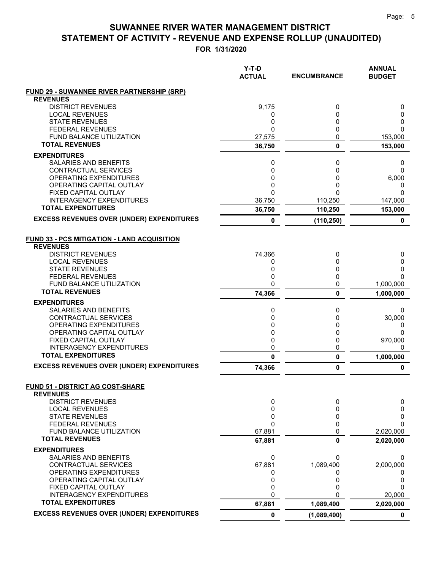**FOR 1/31/2020**

|                                                              | Y-T-D<br><b>ACTUAL</b> | <b>ENCUMBRANCE</b> | <b>ANNUAL</b><br><b>BUDGET</b> |
|--------------------------------------------------------------|------------------------|--------------------|--------------------------------|
| <b>FUND 29 - SUWANNEE RIVER PARTNERSHIP (SRP)</b>            |                        |                    |                                |
| <b>REVENUES</b>                                              |                        |                    |                                |
| <b>DISTRICT REVENUES</b>                                     | 9,175                  | 0<br>0             | 0                              |
| <b>LOCAL REVENUES</b><br><b>STATE REVENUES</b>               | 0<br>0                 | 0                  | 0<br>0                         |
| <b>FEDERAL REVENUES</b>                                      | $\Omega$               | 0                  | $\Omega$                       |
| <b>FUND BALANCE UTILIZATION</b>                              | 27,575                 | 0                  | 153,000                        |
| <b>TOTAL REVENUES</b>                                        | 36,750                 | 0                  | 153,000                        |
| <b>EXPENDITURES</b>                                          |                        |                    |                                |
| SALARIES AND BENEFITS                                        | 0                      | 0                  | 0                              |
| CONTRACTUAL SERVICES                                         | 0                      | 0                  | 0                              |
| OPERATING EXPENDITURES                                       | 0                      | 0                  | 6,000                          |
| OPERATING CAPITAL OUTLAY                                     | 0                      | 0                  | 0                              |
| FIXED CAPITAL OUTLAY                                         | $\mathbf 0$            | 0                  | $\Omega$                       |
| <b>INTERAGENCY EXPENDITURES</b><br><b>TOTAL EXPENDITURES</b> | 36,750                 | 110,250            | 147,000                        |
|                                                              | 36,750                 | 110,250            | 153,000                        |
| <b>EXCESS REVENUES OVER (UNDER) EXPENDITURES</b>             | 0                      | (110, 250)         | 0                              |
| <b>FUND 33 - PCS MITIGATION - LAND ACQUISITION</b>           |                        |                    |                                |
| <b>REVENUES</b>                                              |                        |                    |                                |
| <b>DISTRICT REVENUES</b>                                     | 74,366                 | 0                  | 0                              |
| <b>LOCAL REVENUES</b>                                        | 0                      | 0                  | 0                              |
| <b>STATE REVENUES</b>                                        | 0                      | 0                  | 0                              |
| <b>FEDERAL REVENUES</b>                                      | 0                      | 0                  | <sup>0</sup>                   |
| <b>FUND BALANCE UTILIZATION</b>                              | 0                      | 0                  | 1,000,000                      |
| <b>TOTAL REVENUES</b>                                        | 74,366                 | 0                  | 1,000,000                      |
| <b>EXPENDITURES</b>                                          |                        |                    |                                |
| SALARIES AND BENEFITS                                        | 0                      | 0                  | 0                              |
| CONTRACTUAL SERVICES                                         | 0                      | 0                  | 30,000                         |
| OPERATING EXPENDITURES                                       | 0                      | 0                  | 0                              |
| OPERATING CAPITAL OUTLAY                                     | 0                      | 0                  | $\Omega$                       |
| FIXED CAPITAL OUTLAY                                         | 0                      | 0                  | 970,000                        |
| <b>INTERAGENCY EXPENDITURES</b><br><b>TOTAL EXPENDITURES</b> | 0<br>$\mathbf{0}$      | 0<br>0             | 0                              |
| <b>EXCESS REVENUES OVER (UNDER) EXPENDITURES</b>             | 74,366                 | 0                  | 1,000,000<br>$\mathbf 0$       |
|                                                              |                        |                    |                                |
| <b>FUND 51 - DISTRICT AG COST-SHARE</b><br><b>REVENUES</b>   |                        |                    |                                |
| <b>DISTRICT REVENUES</b>                                     | 0                      | 0                  | 0                              |
| <b>LOCAL REVENUES</b>                                        | 0                      | 0                  | 0                              |
| <b>STATE REVENUES</b>                                        | 0                      | 0                  | 0                              |
| <b>FEDERAL REVENUES</b>                                      | $\mathbf{0}$           | 0                  | $\Omega$                       |
| FUND BALANCE UTILIZATION                                     | 67,881                 | 0                  | 2,020,000                      |
| <b>TOTAL REVENUES</b>                                        | 67,881                 | 0                  | 2,020,000                      |
| <b>EXPENDITURES</b>                                          |                        |                    |                                |
| SALARIES AND BENEFITS                                        | 0                      | 0                  | 0                              |
| <b>CONTRACTUAL SERVICES</b><br><b>OPERATING EXPENDITURES</b> | 67,881                 | 1,089,400          | 2,000,000                      |
| OPERATING CAPITAL OUTLAY                                     | 0<br>0                 | Ω<br>0             | 0<br>0                         |
| FIXED CAPITAL OUTLAY                                         | 0                      | 0                  | 0                              |
| <b>INTERAGENCY EXPENDITURES</b>                              | $\mathbf 0$            | U                  | 20,000                         |
| <b>TOTAL EXPENDITURES</b>                                    | 67,881                 | 1,089,400          | 2,020,000                      |
| <b>EXCESS REVENUES OVER (UNDER) EXPENDITURES</b>             | $\pmb{0}$              | (1,089,400)        | 0                              |

 $=$  $\equiv$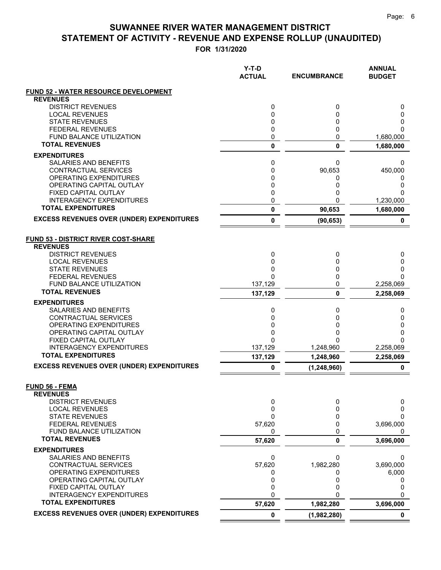|                                                              | $Y-T-D$<br><b>ACTUAL</b> | <b>ENCUMBRANCE</b>       | <b>ANNUAL</b><br><b>BUDGET</b> |
|--------------------------------------------------------------|--------------------------|--------------------------|--------------------------------|
| <b>FUND 52 - WATER RESOURCE DEVELOPMENT</b>                  |                          |                          |                                |
| <b>REVENUES</b>                                              |                          |                          |                                |
| <b>DISTRICT REVENUES</b>                                     | 0                        | 0                        | 0                              |
| <b>LOCAL REVENUES</b><br><b>STATE REVENUES</b>               | 0<br>0                   | 0<br>0                   | 0<br>0                         |
| <b>FEDERAL REVENUES</b>                                      | 0                        | 0                        | 0                              |
| <b>FUND BALANCE UTILIZATION</b>                              | 0                        | 0                        | 1,680,000                      |
| <b>TOTAL REVENUES</b>                                        | 0                        | 0                        | 1,680,000                      |
| <b>EXPENDITURES</b>                                          |                          |                          |                                |
| SALARIES AND BENEFITS                                        | 0                        | 0                        | 0                              |
| CONTRACTUAL SERVICES                                         | 0                        | 90,653                   | 450,000                        |
| OPERATING EXPENDITURES                                       | 0                        | 0                        | 0                              |
| OPERATING CAPITAL OUTLAY<br><b>FIXED CAPITAL OUTLAY</b>      | 0<br>0                   | 0                        | 0<br>0                         |
| <b>INTERAGENCY EXPENDITURES</b>                              | 0                        | 0<br>U                   | 1,230,000                      |
| <b>TOTAL EXPENDITURES</b>                                    | 0                        | 90,653                   | 1,680,000                      |
| <b>EXCESS REVENUES OVER (UNDER) EXPENDITURES</b>             | 0                        | (90, 653)                | 0                              |
|                                                              |                          |                          |                                |
| <b>FUND 53 - DISTRICT RIVER COST-SHARE</b>                   |                          |                          |                                |
| <b>REVENUES</b>                                              |                          |                          |                                |
| <b>DISTRICT REVENUES</b>                                     | 0                        | 0                        | 0                              |
| <b>LOCAL REVENUES</b>                                        | $\mathbf 0$              | 0                        | 0                              |
| <b>STATE REVENUES</b>                                        | 0<br>$\Omega$            | 0<br>0                   | 0<br>$\Omega$                  |
| <b>FEDERAL REVENUES</b><br><b>FUND BALANCE UTILIZATION</b>   | 137,129                  | 0                        | 2,258,069                      |
| <b>TOTAL REVENUES</b>                                        | 137,129                  | 0                        | 2,258,069                      |
| <b>EXPENDITURES</b>                                          |                          |                          |                                |
| SALARIES AND BENEFITS                                        | 0                        | 0                        | 0                              |
| CONTRACTUAL SERVICES                                         | 0                        | 0                        | 0                              |
| OPERATING EXPENDITURES                                       | 0                        | 0                        | 0                              |
| OPERATING CAPITAL OUTLAY                                     | 0                        | 0                        | 0                              |
| FIXED CAPITAL OUTLAY<br><b>INTERAGENCY EXPENDITURES</b>      | $\Omega$                 | O                        | $\Omega$                       |
| <b>TOTAL EXPENDITURES</b>                                    | 137,129<br>137,129       | 1,248,960<br>1,248,960   | 2,258,069<br>2,258,069         |
| <b>EXCESS REVENUES OVER (UNDER) EXPENDITURES</b>             | 0                        | (1, 248, 960)            | 0                              |
|                                                              |                          |                          |                                |
| <b>FUND 56 - FEMA</b><br><b>REVENUES</b>                     |                          |                          |                                |
| <b>DISTRICT REVENUES</b>                                     | 0                        | 0                        | 0                              |
| <b>LOCAL REVENUES</b>                                        | 0                        | 0                        | 0                              |
| <b>STATE REVENUES</b>                                        | 0                        | 0                        | 0                              |
| <b>FEDERAL REVENUES</b><br>FUND BALANCE UTILIZATION          | 57,620<br>0              | 0<br>0                   | 3,696,000<br>0                 |
| <b>TOTAL REVENUES</b>                                        | 57,620                   | 0                        | 3,696,000                      |
| <b>EXPENDITURES</b>                                          |                          |                          |                                |
| <b>SALARIES AND BENEFITS</b>                                 | 0                        | 0                        | 0                              |
| <b>CONTRACTUAL SERVICES</b>                                  | 57,620                   | 1,982,280                | 3,690,000                      |
| OPERATING EXPENDITURES                                       | 0                        |                          | 6,000                          |
| OPERATING CAPITAL OUTLAY                                     | 0                        | 0                        | 0                              |
| FIXED CAPITAL OUTLAY                                         | 0                        | 0                        | 0                              |
| <b>INTERAGENCY EXPENDITURES</b><br><b>TOTAL EXPENDITURES</b> | $\mathbf 0$              |                          | $\Omega$                       |
| <b>EXCESS REVENUES OVER (UNDER) EXPENDITURES</b>             | 57,620<br>$\pmb{0}$      | 1,982,280<br>(1,982,280) | 3,696,000<br>$\mathbf 0$       |
|                                                              |                          |                          |                                |